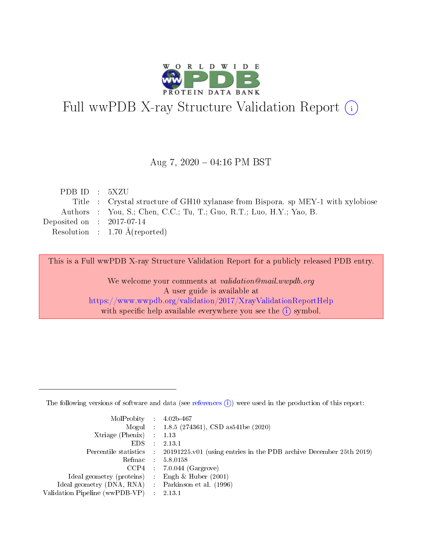

# Full wwPDB X-ray Structure Validation Report (i)

#### Aug 7,  $2020 - 04:16$  PM BST

| PDBID : 5XZU                |                                                                                  |
|-----------------------------|----------------------------------------------------------------------------------|
|                             | Title : Crystal structure of GH10 xylanase from Bispora. sp MEY-1 with xylobiose |
|                             | Authors : You, S.; Chen, C.C.; Tu, T.; Guo, R.T.; Luo, H.Y.; Yao, B.             |
| Deposited on : $2017-07-14$ |                                                                                  |
|                             | Resolution : $1.70 \text{ Å}$ (reported)                                         |

This is a Full wwPDB X-ray Structure Validation Report for a publicly released PDB entry.

We welcome your comments at validation@mail.wwpdb.org A user guide is available at <https://www.wwpdb.org/validation/2017/XrayValidationReportHelp> with specific help available everywhere you see the  $(i)$  symbol.

The following versions of software and data (see [references](https://www.wwpdb.org/validation/2017/XrayValidationReportHelp#references)  $(1)$ ) were used in the production of this report:

| $MolProbability$ : 4.02b-467                      |                             |                                                                                            |
|---------------------------------------------------|-----------------------------|--------------------------------------------------------------------------------------------|
|                                                   |                             | Mogul : $1.8.5$ (274361), CSD as 541be (2020)                                              |
| Xtriage (Phenix) $: 1.13$                         |                             |                                                                                            |
| EDS.                                              | $\mathcal{L}$               | 2.13.1                                                                                     |
|                                                   |                             | Percentile statistics : 20191225.v01 (using entries in the PDB archive December 25th 2019) |
| Refmac : 5.8.0158                                 |                             |                                                                                            |
|                                                   |                             | $CCP4$ 7.0.044 (Gargrove)                                                                  |
| Ideal geometry (proteins)                         | $\mathcal{L}_{\mathcal{L}}$ | Engh $\&$ Huber (2001)                                                                     |
| Ideal geometry (DNA, RNA) Parkinson et al. (1996) |                             |                                                                                            |
| Validation Pipeline (wwPDB-VP) : 2.13.1           |                             |                                                                                            |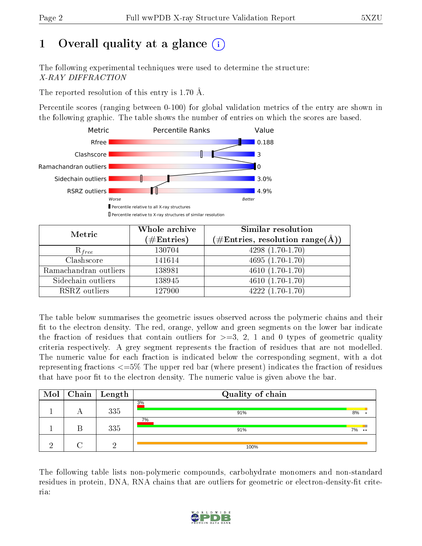## 1 [O](https://www.wwpdb.org/validation/2017/XrayValidationReportHelp#overall_quality)verall quality at a glance  $(i)$

The following experimental techniques were used to determine the structure: X-RAY DIFFRACTION

The reported resolution of this entry is 1.70 Å.

Percentile scores (ranging between 0-100) for global validation metrics of the entry are shown in the following graphic. The table shows the number of entries on which the scores are based.



| Metric                | Whole archive<br>$(\#\text{Entries})$ | Similar resolution<br>$(\#\text{Entries}, \text{resolution range}(\text{\AA}))$ |
|-----------------------|---------------------------------------|---------------------------------------------------------------------------------|
| $R_{free}$            | 130704                                | $4298(1.70-1.70)$                                                               |
| Clashscore            | 141614                                | $4695(1.70-1.70)$                                                               |
| Ramachandran outliers | 138981                                | $\overline{4610}$ $(1.70-1.70)$                                                 |
| Sidechain outliers    | 138945                                | $4610(1.70-1.70)$                                                               |
| RSRZ outliers         | 127900                                | $4222(1.70-1.70)$                                                               |

The table below summarises the geometric issues observed across the polymeric chains and their fit to the electron density. The red, orange, yellow and green segments on the lower bar indicate the fraction of residues that contain outliers for  $>=3, 2, 1$  and 0 types of geometric quality criteria respectively. A grey segment represents the fraction of residues that are not modelled. The numeric value for each fraction is indicated below the corresponding segment, with a dot representing fractions <=5% The upper red bar (where present) indicates the fraction of residues that have poor fit to the electron density. The numeric value is given above the bar.

| Mol |   | $\mid$ Chain $\mid$ Length | Quality of chain |    |           |
|-----|---|----------------------------|------------------|----|-----------|
|     |   | 335                        | 3%<br>91%        | 8% |           |
|     | В | 335                        | 7%<br>91%        | 7% | $\bullet$ |
| റ   |   |                            | 100%             |    |           |

The following table lists non-polymeric compounds, carbohydrate monomers and non-standard residues in protein, DNA, RNA chains that are outliers for geometric or electron-density-fit criteria:

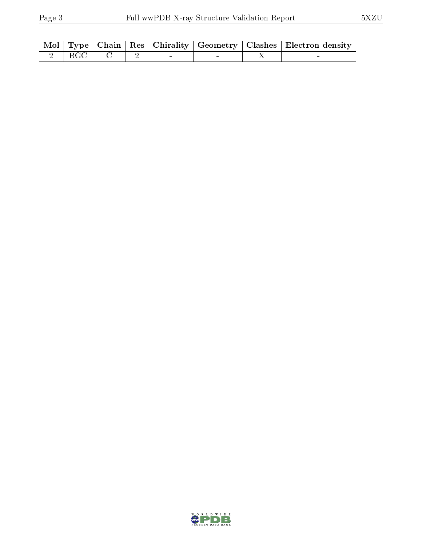|  |                            |  |  | Mol   Type   Chain   Res   Chirality   Geometry   Clashes   Electron density |
|--|----------------------------|--|--|------------------------------------------------------------------------------|
|  | $2 \mid BGC \mid C \mid 2$ |  |  |                                                                              |

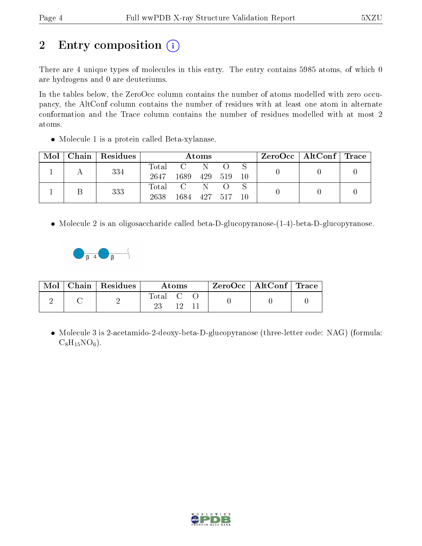## 2 Entry composition (i)

There are 4 unique types of molecules in this entry. The entry contains 5985 atoms, of which 0 are hydrogens and 0 are deuteriums.

In the tables below, the ZeroOcc column contains the number of atoms modelled with zero occupancy, the AltConf column contains the number of residues with at least one atom in alternate conformation and the Trace column contains the number of residues modelled with at most 2 atoms.

Molecule 1 is a protein called Beta-xylanase.

| Mol | Chain Residues | Atoms               |                      |          |       | $\text{ZeroOcc}$   AltConf   Trace |  |  |
|-----|----------------|---------------------|----------------------|----------|-------|------------------------------------|--|--|
|     | 334            | $\rm Total$<br>2647 | $\mathbf{C}$<br>1689 | N<br>429 | - 519 | -10                                |  |  |
|     | 333            | Total<br>2638       | 1684 427 517         |          |       | 10                                 |  |  |

Molecule 2 is an oligosaccharide called beta-D-glucopyranose-(1-4)-beta-D-glucopyranose.



| Mol | Chain   Residues | Atoms       |  | $\text{ZeroOcc} \mid \text{AltConf} \mid \text{Trace}$ |  |  |
|-----|------------------|-------------|--|--------------------------------------------------------|--|--|
|     |                  | $\rm Total$ |  |                                                        |  |  |

• Molecule 3 is 2-acetamido-2-deoxy-beta-D-glucopyranose (three-letter code: NAG) (formula:  $C_8H_{15}NO_6$ .

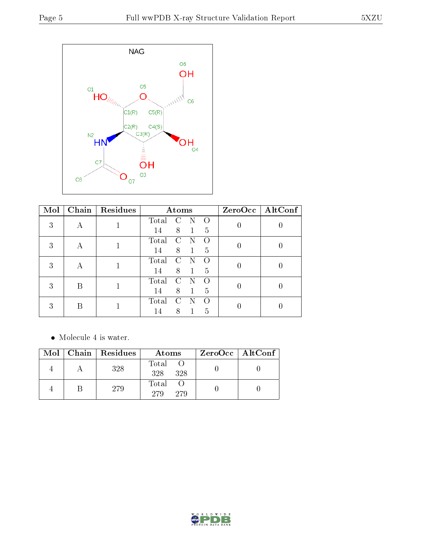

| Mol |   | Chain   Residues |       | Atoms         |   |   | ZeroOcc   AltConf |
|-----|---|------------------|-------|---------------|---|---|-------------------|
| 3   |   |                  | Total |               | N |   |                   |
|     |   |                  | 14    | 8             | 1 | 5 |                   |
| 3   | А |                  | Total | $\mathcal{C}$ |   |   |                   |
|     |   |                  | 14    | 8             |   | 5 |                   |
| 3   | А |                  | Total | <b>C</b>      |   |   |                   |
|     |   |                  | 14    | 8             |   | 5 |                   |
| 3   | В |                  | Total | C :           |   |   |                   |
|     |   |                  | 14    | 8             |   | 5 |                   |
| 3   |   |                  | Total | $\mathcal{C}$ |   |   |                   |
|     |   |                  | 14    | 8             |   | 5 |                   |

Molecule 4 is water.

|  | Mol   Chain   Residues | Atoms                 | $ZeroOcc \mid AltConf \mid$ |
|--|------------------------|-----------------------|-----------------------------|
|  | 328                    | Total O<br>328<br>328 |                             |
|  | 279                    | Total<br>279<br>279   |                             |

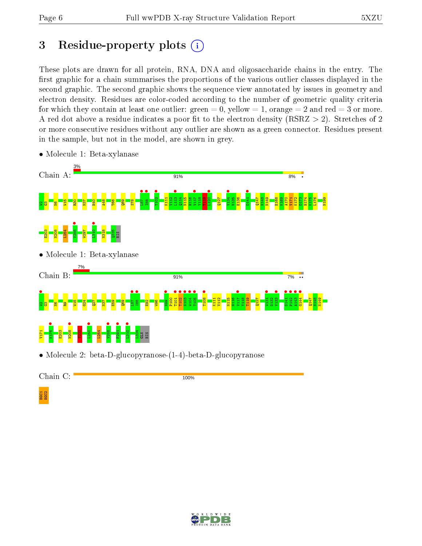## 3 Residue-property plots  $(i)$

These plots are drawn for all protein, RNA, DNA and oligosaccharide chains in the entry. The first graphic for a chain summarises the proportions of the various outlier classes displayed in the second graphic. The second graphic shows the sequence view annotated by issues in geometry and electron density. Residues are color-coded according to the number of geometric quality criteria for which they contain at least one outlier: green  $= 0$ , yellow  $= 1$ , orange  $= 2$  and red  $= 3$  or more. A red dot above a residue indicates a poor fit to the electron density ( $RSRZ > 2$ ). Stretches of 2 or more consecutive residues without any outlier are shown as a green connector. Residues present in the sample, but not in the model, are shown in grey.



• Molecule 1: Beta-xylanase

• Molecule 2: beta-D-glucopyranose-(1-4)-beta-D-glucopyranose

Chain C:

100%



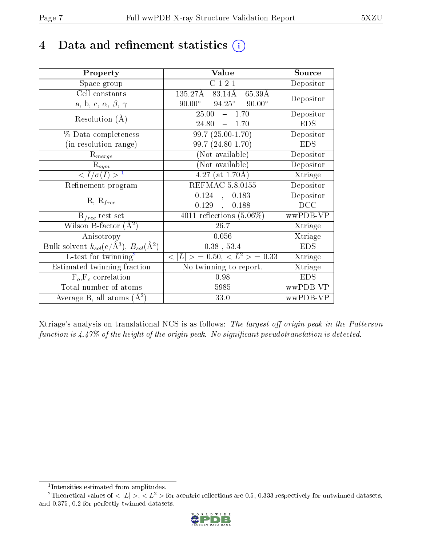## 4 Data and refinement statistics  $(i)$

| Property                                                   | Value                                              | Source     |
|------------------------------------------------------------|----------------------------------------------------|------------|
| Space group                                                | C121                                               | Depositor  |
| Cell constants                                             | $135.27\text{\AA}$<br>83.14Å<br>65.39Å             | Depositor  |
| a, b, c, $\alpha$ , $\beta$ , $\gamma$                     | $94.25^{\circ}$ $90.00^{\circ}$<br>$90.00^{\circ}$ |            |
| Resolution $(A)$                                           | 25.00<br>$-1.70$                                   | Depositor  |
|                                                            | 24.80<br>$-1.70$                                   | <b>EDS</b> |
| $\%$ Data completeness                                     | $99.7(25.00-1.70)$                                 | Depositor  |
| (in resolution range)                                      | 99.7 (24.80-1.70)                                  | <b>EDS</b> |
| $R_{merge}$                                                | (Not available)                                    | Depositor  |
| $\mathrm{R}_{sym}$                                         | $(Not\ avariable)$                                 | Depositor  |
| $\langle I/\sigma(I) \rangle^{-1}$                         | $4.27$ (at 1.70Å)                                  | Xtriage    |
| Refinement program                                         | <b>REFMAC 5.8.0155</b>                             | Depositor  |
|                                                            | 0.124<br>0.183<br>$\sim$                           | Depositor  |
| $R, R_{free}$                                              | 0.129,<br>0.188                                    | DCC        |
| $R_{free}$ test set                                        | $\overline{4011}$ reflections $(5.06\%)$           | wwPDB-VP   |
| Wilson B-factor $(A^2)$                                    | 26.7                                               | Xtriage    |
| Anisotropy                                                 | 0.056                                              | Xtriage    |
| Bulk solvent $k_{sol}$ (e/Å <sup>3</sup> ), $B_{sol}(A^2)$ | $0.38$ , 53.4                                      | <b>EDS</b> |
| L-test for $\mathrm{twinning}^2$                           | $< L >$ = 0.50, $< L2$ > = 0.33                    | Xtriage    |
| Estimated twinning fraction                                | No twinning to report.                             | Xtriage    |
| $\overline{F_o}, \overline{F_c}$ correlation               | 0.98                                               | <b>EDS</b> |
| Total number of atoms                                      | 5985                                               | wwPDB-VP   |
| Average B, all atoms $(A^2)$                               | 33.0                                               | wwPDB-VP   |

Xtriage's analysis on translational NCS is as follows: The largest off-origin peak in the Patterson function is  $4.47\%$  of the height of the origin peak. No significant pseudotranslation is detected.

<sup>&</sup>lt;sup>2</sup>Theoretical values of  $\langle |L| \rangle$ ,  $\langle L^2 \rangle$  for acentric reflections are 0.5, 0.333 respectively for untwinned datasets, and 0.375, 0.2 for perfectly twinned datasets.



<span id="page-6-1"></span><span id="page-6-0"></span><sup>1</sup> Intensities estimated from amplitudes.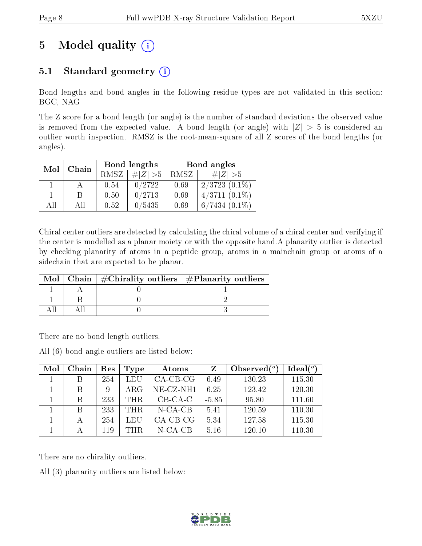## 5 Model quality  $(i)$

### 5.1 Standard geometry  $(i)$

Bond lengths and bond angles in the following residue types are not validated in this section: BGC, NAG

The Z score for a bond length (or angle) is the number of standard deviations the observed value is removed from the expected value. A bond length (or angle) with  $|Z| > 5$  is considered an outlier worth inspection. RMSZ is the root-mean-square of all Z scores of the bond lengths (or angles).

| Mol | Chain |      | Bond lengths | Bond angles |                    |  |
|-----|-------|------|--------------|-------------|--------------------|--|
|     |       | RMSZ | $\# Z  > 5$  | RMSZ        | # $ Z  > 5$        |  |
|     |       | 0.54 | 0/2722       | 0.69        | $2/3723$ $(0.1\%)$ |  |
|     | В     | 0.50 | 0/2713       | 0.69        | $4/3711(0.1\%)$    |  |
| AH  | ΑH    | 0.52 | 0/5435       | 0.69        | $6/7434(0.1\%)$    |  |

Chiral center outliers are detected by calculating the chiral volume of a chiral center and verifying if the center is modelled as a planar moiety or with the opposite hand.A planarity outlier is detected by checking planarity of atoms in a peptide group, atoms in a mainchain group or atoms of a sidechain that are expected to be planar.

| Mol | Chain   $\#\text{Chirality outliers}$   $\#\text{Planarity outliers}$ |  |
|-----|-----------------------------------------------------------------------|--|
|     |                                                                       |  |
|     |                                                                       |  |
|     |                                                                       |  |

There are no bond length outliers.

All (6) bond angle outliers are listed below:

| Mol | Chain | Res | Type       | Atoms        | Z       | Observed $\binom{o}{c}$ | Ideal $(°)$ |
|-----|-------|-----|------------|--------------|---------|-------------------------|-------------|
|     |       | 254 | LEU        | $CA-CB-CG$   | 6.49    | 130.23                  | 115.30      |
|     |       | 9   | $\rm{ARG}$ | $NE- CZ-NH1$ | 6.25    | 123.42                  | 120.30      |
|     | В     | 233 | THR.       | $CB-CA-C$    | $-5.85$ | 95.80                   | 111.60      |
|     | В     | 233 | THR.       | $N$ -CA-CB   | 5.41    | 120.59                  | 110.30      |
|     |       | 254 | LEU        | $CA-CB-CG$   | 5.34    | 127.58                  | 115.30      |
|     |       | 119 | THR.       | $N$ -CA-CB   | 5.16    | 120.10                  | 110.30      |

There are no chirality outliers.

All (3) planarity outliers are listed below:

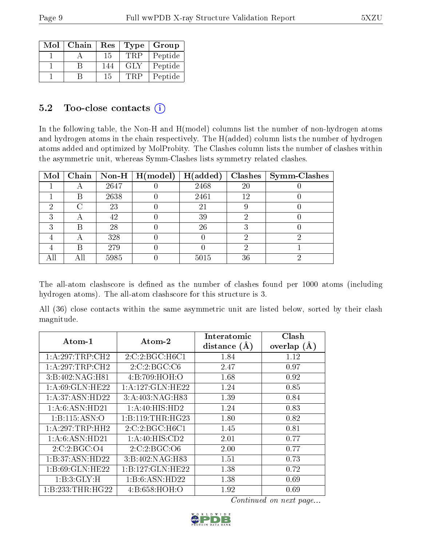| Mol | Chain | Res |     | Type   Group |
|-----|-------|-----|-----|--------------|
|     |       | 15  | TRF | Peptide      |
|     |       | 144 | GLY | Peptide      |
|     |       | 15  |     | Peptide      |

#### $5.2$  Too-close contacts  $(i)$

In the following table, the Non-H and H(model) columns list the number of non-hydrogen atoms and hydrogen atoms in the chain respectively. The H(added) column lists the number of hydrogen atoms added and optimized by MolProbity. The Clashes column lists the number of clashes within the asymmetric unit, whereas Symm-Clashes lists symmetry related clashes.

| Mol |   |      | Chain   Non-H   $H (model)$ | H(added) | Clashes | Symm-Clashes |
|-----|---|------|-----------------------------|----------|---------|--------------|
|     |   | 2647 |                             | 2468     | 20      |              |
|     | В | 2638 |                             | 2461     | 12      |              |
| ٠,  |   | 23   |                             | 21       |         |              |
| 2   |   | 42   |                             | 39       |         |              |
| ົ   | В | 28   |                             | 26       |         |              |
|     |   | 328  |                             |          |         |              |
|     | В | 279  |                             |          |         |              |
|     |   | 5985 |                             | 5015     | 36      |              |

The all-atom clashscore is defined as the number of clashes found per 1000 atoms (including hydrogen atoms). The all-atom clashscore for this structure is 3.

All (36) close contacts within the same asymmetric unit are listed below, sorted by their clash magnitude.

| $\rm{Atom\text{-}1}$ | $\boldsymbol{\mathrm{Atom}\text{-}2}$ | Interatomic    | Clash          |
|----------------------|---------------------------------------|----------------|----------------|
|                      |                                       | distance $(A)$ | overlap<br>(A) |
| 1:A:297:TRP:CH2      | 2:C:2:BGC:H6C1                        | 1.84           | 1.12           |
| 1:A:297:TRP:CH2      | 2:C:2:BGC:C6                          | 2.47           | 0.97           |
| 3:B:402:NAG:H81      | 4:B:709:HOH:O                         | 1.68           | 0.92           |
| 1:A:69:GLN:HE22      | 1: A: 127: GLN: HE22                  | 1.24           | 0.85           |
| 1:A:37:ASN:HD22      | 3:A:403:NAG:H83                       | 1.39           | 0.84           |
| 1:A:6:ASN:HD21       | 1:A:40:HIS:HD2                        | 1.24           | 0.83           |
| 1: B: 115: ASN: O    | 1:B:119:THR:HG23                      | 1.80           | 0.82           |
| 1:A:297:TRP:HH2      | 2:C:2:BGC:H6C1                        | 1.45           | 0.81           |
| 1:A:6:ASN:HD21       | 1:A:40:HIS:CD2                        | 2.01           | 0.77           |
| 2:C:2:BGC:O4         | 2:C:2:BGC:O6                          | 2.00           | 0.77           |
| 1:B:37:ASN:HD22      | 3:B:402:NAG:H83                       | 1.51           | 0.73           |
| 1:B:69:GLN:HE22      | 1:B:127:GLN:HE22                      | 1.38           | 0.72           |
| 1:B:3:GLY:H          | 1:B:6:ASN:HD22                        | 1.38           | 0.69           |
| 1:B:233:THR:HG22     | 4:B:658:HOH:O                         | 1.92           | 0.69           |

Continued on next page...

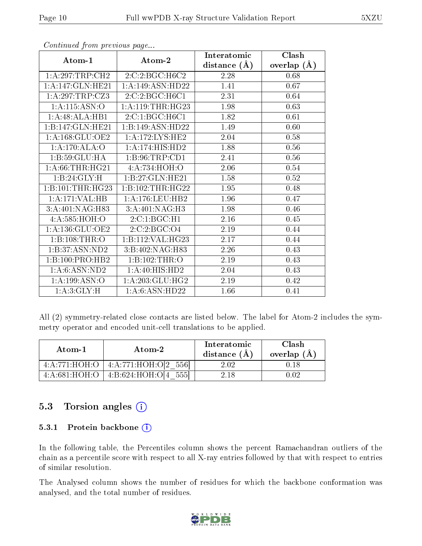|                     |                    | Interatomic    | Clash         |
|---------------------|--------------------|----------------|---------------|
| Atom-1              | Atom-2             | distance $(A)$ | overlap $(A)$ |
| 1:A:297:TRP:CH2     | 2:C:2:BGC:H6C2     | 2.28           | 0.68          |
| 1: A:147: GLN: HE21 | 1:A:149:ASN:HD22   | 1.41           | 0.67          |
| 1: A:297:TRP: CZ3   | 2:C:2:BGC:H6C1     | 2.31           | 0.64          |
| 1:A:115:ASN:O       | 1: A:119:THR:HG23  | 1.98           | 0.63          |
| 1:A:48:ALA:HB1      | 2:C:1:BGC:H6C1     | 1.82           | 0.61          |
| 1:B:147:GLN:HE21    | 1:B:149:ASN:HD22   | 1.49           | 0.60          |
| 1:A:168:GLU:OE2     | 1:A:172:LYS:HE2    | 2.04           | 0.58          |
| 1:A:170:ALA:O       | 1:A:174:HIS:HD2    | 1.88           | 0.56          |
| 1:B:59:GLU:HA       | 1:B:96:TRP:CD1     | 2.41           | 0.56          |
| 1: A:66:THR:HG21    | 4:A:734:HOH:O      | 2.06           | 0.54          |
| 1:B:24:GLY:H        | 1:B:27:GLN:HE21    | 1.58           | 0.52          |
| 1:B:101:THR:HG23    | 1:B:102:THR:HG22   | 1.95           | 0.48          |
| 1:A:171:VAL:HB      | 1: A:176: LEU: HB2 | 1.96           | 0.47          |
| 3:A:401:NAG:H83     | 3:A:401:NAG:H3     | 1.98           | 0.46          |
| 4: A:585: HOH:O     | 2:C:1:BGC:H1       | 2.16           | 0.45          |
| 1: A: 136: GLU: OE2 | 2:C:2:BGC:O4       | 2.19           | 0.44          |
| 1:B:108:THR:O       | 1:B:112:VAL:HG23   | 2.17           | 0.44          |
| 1:B:37:ASN:ND2      | 3:B:402:NAG:H83    | 2.26           | 0.43          |
| 1:B:100:PRO:HB2     | 1:B:102:THR:O      | 2.19           | 0.43          |
| 1: A:6: ASN: ND2    | 1:A:40:HIS:HD2     | 2.04           | 0.43          |
| 1: A: 199: ASN:O    | 1:A:203:GLU:HG2    | 2.19           | 0.42          |
| 1: A:3: GLY:H       | 1: A:6: ASN: HD22  | 1.66           | 0.41          |

Continued from previous page...

All (2) symmetry-related close contacts are listed below. The label for Atom-2 includes the symmetry operator and encoded unit-cell translations to be applied.

| Atom-1        | Atom-2                                   | Interatomic<br>distance $(A)$ | Clash<br>overlap $(A)$ |
|---------------|------------------------------------------|-------------------------------|------------------------|
| 4:A:771:HOH:O | 4: A:771:HOH O[2 556]                    | 2.02                          |                        |
|               | $4:A:681:HOH:O$   $4:B:624:HOH:O[4 555]$ | 2.18                          |                        |

#### 5.3 Torsion angles (i)

#### 5.3.1 Protein backbone (i)

In the following table, the Percentiles column shows the percent Ramachandran outliers of the chain as a percentile score with respect to all X-ray entries followed by that with respect to entries of similar resolution.

The Analysed column shows the number of residues for which the backbone conformation was analysed, and the total number of residues.

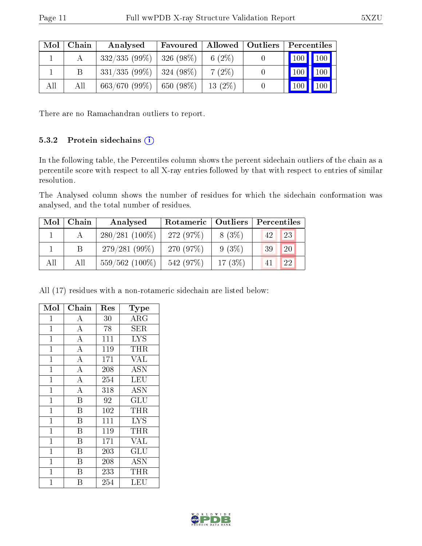| Mol | Chain | Analysed                      | Favoured |           | Allowed   Outliers   Percentiles |
|-----|-------|-------------------------------|----------|-----------|----------------------------------|
|     |       | $332/335(99\%)$   326 (98\%)  |          | 6 $(2\%)$ | 100 100                          |
|     | Β     | $331/335(99\%)$   324 (98\%)  |          | $7(2\%)$  | $\mid$ 100 $\mid$ 100 $\mid$     |
| All | All   | $663/670$ (99\%)   650 (98\%) |          | $13(2\%)$ | 100<br>$^{\text{\tiny{1}}\,100}$ |

There are no Ramachandran outliers to report.

#### 5.3.2 Protein sidechains (i)

In the following table, the Percentiles column shows the percent sidechain outliers of the chain as a percentile score with respect to all X-ray entries followed by that with respect to entries of similar resolution.

The Analysed column shows the number of residues for which the sidechain conformation was analysed, and the total number of residues.

| Mol | Chain | Analysed         | Rotameric   Outliers |           | Percentiles |  |  |
|-----|-------|------------------|----------------------|-----------|-------------|--|--|
|     |       | $280/281(100\%)$ | 272 (97%)            | $8(3\%)$  | 23<br>42    |  |  |
|     | B     | $279/281(99\%)$  | 270 (97%)            | $9(3\%)$  | 20<br>39    |  |  |
| All | All   | $559/562(100\%)$ | 542 (97%)            | 17 $(3%)$ | 22<br>41    |  |  |

All (17) residues with a non-rotameric sidechain are listed below:

| Mol            | Chain                   | Res    | Type                    |
|----------------|-------------------------|--------|-------------------------|
| $\mathbf{1}$   | Α                       | $30\,$ | $\rm{ARG}$              |
| $\mathbf{1}$   | $\overline{\rm A}$      | 78     | ${\rm SER}$             |
| $\overline{1}$ | $\overline{\rm A}$      | 111    | $\overline{\text{LYS}}$ |
| $\mathbf{1}$   | $\overline{\rm A}$      | 119    | THR                     |
| $\mathbf{1}$   | $\overline{\rm A}$      | 171    | <b>VAL</b>              |
| $\overline{1}$ | $\overline{\rm A}$      | 208    | $\overline{ASN}$        |
| $\mathbf{1}$   | $\overline{\rm A}$      | 254    | LEU                     |
| $\mathbf{1}$   | $\overline{\rm A}$      | 318    | ASN                     |
| $\mathbf{1}$   | $\overline{\mathrm{B}}$ | 92     | GLU                     |
| $\mathbf{1}$   | B                       | 102    | THR                     |
| $\mathbf{1}$   | Β                       | 111    | <b>LYS</b>              |
| $\mathbf{1}$   | B                       | 119    | THR.                    |
| $\overline{1}$ | B                       | 171    | <b>VAL</b>              |
| $\mathbf{1}$   | B                       | 203    | GLU                     |
| $\overline{1}$ | B                       | 208    | <b>ASN</b>              |
| $\mathbf{1}$   | B                       | 233    | THR                     |
| $\overline{1}$ | В                       | 254    | LEU                     |

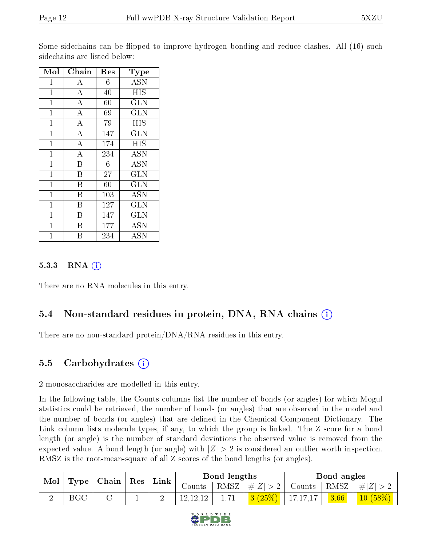Some sidechains can be flipped to improve hydrogen bonding and reduce clashes. All (16) such sidechains are listed below:

| Mol            | Chain                   | $\operatorname{Res}% \left( \mathcal{N}\right) \equiv\operatorname{Res}(\mathcal{N}_{0})\cap\mathcal{N}_{1}$ | Type       |
|----------------|-------------------------|--------------------------------------------------------------------------------------------------------------|------------|
| 1              | А                       | 6                                                                                                            | <b>ASN</b> |
| $\mathbf 1$    | $\overline{\rm A}$      | 40                                                                                                           | <b>HIS</b> |
| $\mathbf{1}$   | $\bf{A}$                | 60                                                                                                           | <b>GLN</b> |
| $\mathbf{1}$   | $\bf{A}$                | 69                                                                                                           | <b>GLN</b> |
| $\mathbf{1}$   | $\overline{A}$          | 79                                                                                                           | <b>HIS</b> |
| $\mathbf{1}$   | $\overline{\rm A}$      | 147                                                                                                          | <b>GLN</b> |
| $\mathbf{1}$   | $\overline{\rm A}$      | 174                                                                                                          | <b>HIS</b> |
| $\mathbf{1}$   | $\bf{A}$                | 234                                                                                                          | <b>ASN</b> |
| $\mathbf{1}$   | $\overline{\mathrm{B}}$ | 6                                                                                                            | <b>ASN</b> |
| $\overline{1}$ | B                       | 27                                                                                                           | <b>GLN</b> |
| $\mathbf{1}$   | B                       | 60                                                                                                           | <b>GLN</b> |
| $\mathbf{1}$   | B                       | 103                                                                                                          | <b>ASN</b> |
| $\mathbf{1}$   | B                       | 127                                                                                                          | GLN        |
| $\mathbf{1}$   | Β                       | 147                                                                                                          | <b>GLN</b> |
| $\mathbf{1}$   | B                       | 177                                                                                                          | <b>ASN</b> |
| 1              | В                       | 234                                                                                                          | ASN        |

#### $5.3.3$  RNA  $(i)$

There are no RNA molecules in this entry.

#### 5.4 Non-standard residues in protein, DNA, RNA chains (i)

There are no non-standard protein/DNA/RNA residues in this entry.

#### 5.5 Carbohydrates (i)

2 monosaccharides are modelled in this entry.

In the following table, the Counts columns list the number of bonds (or angles) for which Mogul statistics could be retrieved, the number of bonds (or angles) that are observed in the model and the number of bonds (or angles) that are dened in the Chemical Component Dictionary. The Link column lists molecule types, if any, to which the group is linked. The Z score for a bond length (or angle) is the number of standard deviations the observed value is removed from the expected value. A bond length (or angle) with  $|Z| > 2$  is considered an outlier worth inspection. RMSZ is the root-mean-square of all Z scores of the bond lengths (or angles).

| $\mid$ Mol $\mid$ | $\vert$ Chain $\vert$ Res $\vert$ |  | $^{\shortmid}$ Link |  | Bond lengths                                                      |      |                      | Bond angles |      |            |
|-------------------|-----------------------------------|--|---------------------|--|-------------------------------------------------------------------|------|----------------------|-------------|------|------------|
|                   | $\vert$ Type $\vert$              |  |                     |  | Counts   RMSZ $\mid \#  Z  > 2$   Counts   RMSZ $\mid \#  Z  > 2$ |      |                      |             |      |            |
|                   | <b>BGC</b>                        |  |                     |  | 12, 12, 12                                                        | 1.71 | $3(25\%)$   17,17,17 |             | 3.66 | $10(58\%)$ |

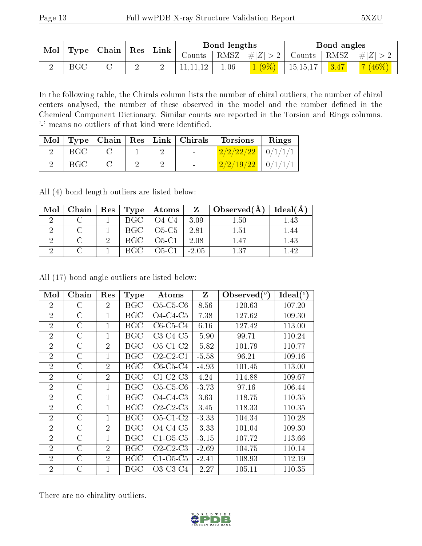| Type   Chain  <br>Mol | $\mid$ Res $\mid$ | Link |   | Bond lengths |      |           | Bond angles |              |         |          |
|-----------------------|-------------------|------|---|--------------|------|-----------|-------------|--------------|---------|----------|
|                       |                   |      |   | Counts-      | RMSZ | $\pm  Z $ | Counts      | $+$ RMSZ $+$ | $\#Z$ > |          |
|                       | BGC               |      | ∠ |              |      | 1.06      | $(9\%)$     | 15, 15, 17   | 3.47    | $(46\%)$ |

In the following table, the Chirals column lists the number of chiral outliers, the number of chiral centers analysed, the number of these observed in the model and the number defined in the Chemical Component Dictionary. Similar counts are reported in the Torsion and Rings columns. '-' means no outliers of that kind were identified.

| Mol |            |  |                          | Type   Chain   Res   Link   Chirals   Torsions       | Rings |
|-----|------------|--|--------------------------|------------------------------------------------------|-------|
|     | BGC        |  | <b>Contract Contract</b> | $2/2/22/22$   $0/1/1/1$                              |       |
|     | <b>BGC</b> |  |                          | $\left[ \frac{2}{2}/\frac{19}{22} \right]$   0/1/1/1 |       |

All (4) bond length outliers are listed below:

| Mol | $ $ Chain $ $ | $\operatorname{Res}$   $\operatorname{Type}$ | $\pm$ Atoms $\pm$ |         | $Z \mid$ Observed(A) | Ideal(A) |
|-----|---------------|----------------------------------------------|-------------------|---------|----------------------|----------|
|     |               | BGC.                                         | $O4-C4$           | 3.09    | 1.50                 | 1.43     |
|     |               | BGC                                          | $O5-C5$           | 2.81    | 1.51                 | 1.44     |
|     |               | BGC -                                        | $O5-C1$           | 2.08    | 1.47                 | 1.43     |
|     |               | BGC.                                         | $O5-C1$           | $-2.05$ | 1.37                 | 142      |

All (17) bond angle outliers are listed below:

| Mol            | Chain         | Res            | <b>Type</b>  | Atoms                                | Z       | Observed $(°)$ | Ideal (°) |
|----------------|---------------|----------------|--------------|--------------------------------------|---------|----------------|-----------|
| $\overline{2}$ | С             | 2              | <b>BGC</b>   | $O5-C5-C6$                           | 8.56    | 120.63         | 107.20    |
| $\overline{2}$ | С             | 1              | BGC          | $O4-C4-C5$                           | 7.38    | 127.62         | 109.30    |
| $\overline{2}$ | С             | 1              | BGC          | $C6-C5-C4$                           | 6.16    | 127.42         | 113.00    |
| $\overline{2}$ | С             | 1              | BGC          | $C3-C4-C5$                           | $-5.90$ | 99.71          | 110.24    |
| $\overline{2}$ | С             | $\overline{2}$ | <b>BGC</b>   | $O5-C1-C2$                           | $-5.82$ | 101.79         | 110.77    |
| $\overline{2}$ | С             | $\mathbf{1}$   | BGC          | $O2$ -C <sub>2</sub> -C <sub>1</sub> | $-5.58$ | 96.21          | 109.16    |
| $\overline{2}$ | С             | $\overline{2}$ | BGC          | $C6-C5-C4$                           | $-4.93$ | 101.45         | 113.00    |
| $\overline{2}$ | С             | $\overline{2}$ | BGC          | $C1-C2-C3$                           | 4.24    | 114.88         | 109.67    |
| $\overline{2}$ | С             | $\mathbf{1}$   | BGC          | $O5-C5-C6$                           | $-3.73$ | 97.16          | 106.44    |
| $\overline{2}$ | С             | 1              | BGC          | $O4-C4-C3$                           | 3.63    | 118.75         | 110.35    |
| $\overline{2}$ | С             | $\mathbf{1}$   | BGC          | $O2$ -C <sub>2</sub> -C <sub>3</sub> | 3.45    | 118.33         | 110.35    |
| $\overline{2}$ | С             | 1              | BGC          | $O5-C1-C2$                           | $-3.33$ | 104.34         | 110.28    |
| $\overline{2}$ | $\rm C$       | $\overline{2}$ | BGC          | $O4-C4-C5$                           | $-3.33$ | 101.04         | 109.30    |
| $\overline{2}$ | С             | 1              | BGC          | $C1-O5-C5$                           | $-3.15$ | 107.72         | 113.66    |
| $\overline{2}$ | $\mathcal{C}$ | $\overline{2}$ | <b>BGC</b>   | $O2-C2-C3$                           | $-2.69$ | 104.75         | 110.14    |
| $\overline{2}$ | С             | $\overline{2}$ | BGC          | $C1-O5-C5$                           | $-2.41$ | 108.93         | 112.19    |
| $\overline{2}$ | С             | $\mathbf{1}$   | $_{\rm BGC}$ | O3-C3-C4                             | $-2.27$ | 105.11         | 110.35    |

There are no chirality outliers.

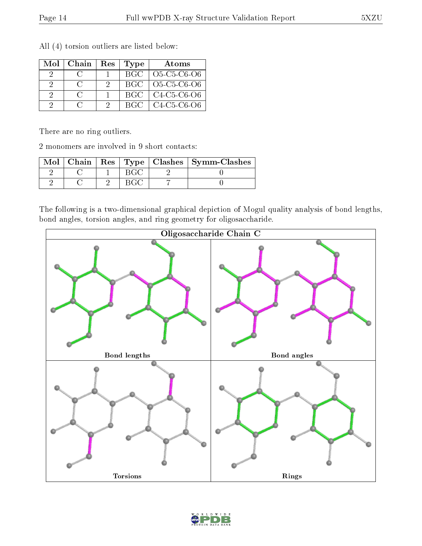| Mol | Chain | Res | <b>Type</b> | Atoms         |
|-----|-------|-----|-------------|---------------|
|     |       |     | <b>BGC</b>  | $O5-C5-C6-O6$ |
| -9  |       |     | BGC.        | $O5-C5-C6-O6$ |
|     |       |     | BGC.        | $C4-C5-C6-O6$ |
|     |       |     | BGC.        | $C4-C5-C6-1$  |

All (4) torsion outliers are listed below:

There are no ring outliers.

2 monomers are involved in 9 short contacts:

|  |  | Mol   Chain   Res   Type   Clashes   Symm-Clashes |
|--|--|---------------------------------------------------|
|  |  |                                                   |
|  |  |                                                   |

The following is a two-dimensional graphical depiction of Mogul quality analysis of bond lengths, bond angles, torsion angles, and ring geometry for oligosaccharide.



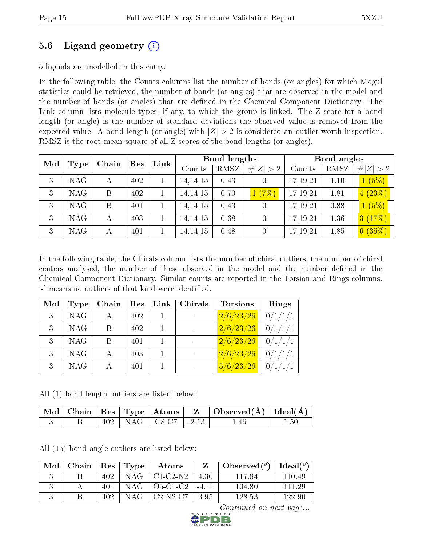### 5.6 Ligand geometry (i)

5 ligands are modelled in this entry.

In the following table, the Counts columns list the number of bonds (or angles) for which Mogul statistics could be retrieved, the number of bonds (or angles) that are observed in the model and the number of bonds (or angles) that are dened in the Chemical Component Dictionary. The Link column lists molecule types, if any, to which the group is linked. The Z score for a bond length (or angle) is the number of standard deviations the observed value is removed from the expected value. A bond length (or angle) with  $|Z| > 2$  is considered an outlier worth inspection. RMSZ is the root-mean-square of all Z scores of the bond lengths (or angles).

| Mol | Type       | Chain | Res | Link   |            | <b>Bond lengths</b> |                  |          | Bond angles |        |
|-----|------------|-------|-----|--------|------------|---------------------|------------------|----------|-------------|--------|
|     |            |       |     | Counts | RMSZ       | # $ Z  > 2$         | Counts           | RMSZ     | # $ Z  > 2$ |        |
| 3   | <b>NAG</b> | А     | 402 |        | 14, 14, 15 | 0.43                |                  | 17,19,21 | 1.10        | 1(5%)  |
| 3   | <b>NAG</b> | B     | 402 |        | 14, 14, 15 | 0.70                | 1(7%)            | 17,19,21 | 1.81        | 4(23%) |
| 3   | <b>NAG</b> | B     | 401 |        | 14, 14, 15 | 0.43                | 0                | 17,19,21 | 0.88        | 1(5%)  |
| 3   | <b>NAG</b> | А     | 403 |        | 14, 14, 15 | 0.68                | 0                | 17,19,21 | 1.36        | 3(17%) |
| 3   | <b>NAG</b> | А     | 401 |        | 14, 14, 15 | 0.48                | $\left( \right)$ | 17,19,21 | 1.85        | 6(35%) |

In the following table, the Chirals column lists the number of chiral outliers, the number of chiral centers analysed, the number of these observed in the model and the number defined in the Chemical Component Dictionary. Similar counts are reported in the Torsion and Rings columns. '-' means no outliers of that kind were identified.

| Mol            | Type       | Chain | Res | Link | Chirals                      | <b>Torsions</b> | Rings   |
|----------------|------------|-------|-----|------|------------------------------|-----------------|---------|
| 3 <sup>1</sup> | <b>NAG</b> |       | 402 |      | $\sim$                       | 2/6/23/26       | 0/1/1/1 |
| 3              | <b>NAG</b> | В     | 402 |      | $\blacksquare$               | 2/6/23/26       | 0/1/1/1 |
| 3              | <b>NAG</b> | B     | 401 |      | $\qquad \qquad \blacksquare$ | 2/6/23/26       | 0/1/1/1 |
| 3              | <b>NAG</b> |       | 403 |      | $\sim$                       | 2/6/23/26       | 0/1/1/1 |
| 3              | <b>NAG</b> |       | 401 |      |                              | 5/6/23/26       | 0/1/1/1 |

All (1) bond length outliers are listed below:

|  |  |                             | $\Box$ Mol $\vert$ Chain $\vert$ Res $\vert$ Type $\vert$ Atoms $\vert$ Z $\vert$ Observed(A) $\vert$ Ideal(A) $\vert$ |          |
|--|--|-----------------------------|------------------------------------------------------------------------------------------------------------------------|----------|
|  |  | $402$   NAG   C8-C7   -2.13 | .46                                                                                                                    | $1.50\,$ |

All (15) bond angle outliers are listed below:

| Mol | Chain |      | $\mid$ Res $\mid$ Type | $\boldsymbol{\mathrm{Atoms}}$ | Z     | Observed $(^\circ)$ | $\text{Ideal}({}^o)$ |
|-----|-------|------|------------------------|-------------------------------|-------|---------------------|----------------------|
|     |       | 402. |                        | $NAG + C1-C2-N2$              | -4.30 | -117.84             | 110.49               |
|     |       | 401  |                        | $NAG$   O5-C1-C2   -4.11      |       | 104.80              | 111 29               |
|     |       | 402. | NAG                    | $^+$ C2-N2-C7 $^-$            | - 395 | 128.53              | 122.90               |

Continued on next page...

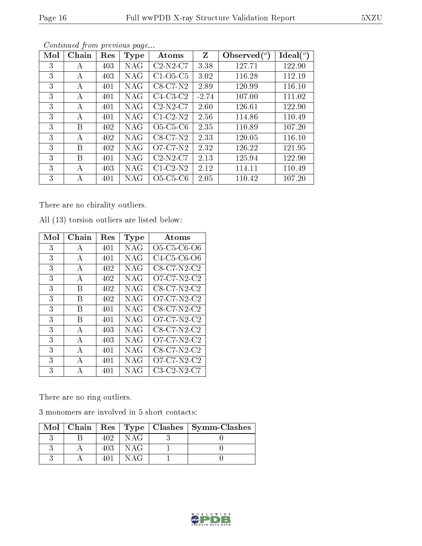| Mol | Chain | Res | <b>Type</b> | Atoms      | Z       | Observed $(°)$ | Ideal(°) |
|-----|-------|-----|-------------|------------|---------|----------------|----------|
| 3   | А     | 403 | <b>NAG</b>  | $C2-N2-C7$ | 3.38    | 127.71         | 122.90   |
| 3   | A     | 403 | NAG         | $C1-O5-C5$ | 3.02    | 116.28         | 112.19   |
| 3   | А     | 401 | <b>NAG</b>  | $C8-C7-N2$ | 2.89    | 120.99         | 116.10   |
| 3   | A     | 401 | <b>NAG</b>  | $C4-C3-C2$ | $-2.74$ | 107.00         | 111.02   |
| 3   | A     | 401 | <b>NAG</b>  | $C2-N2-C7$ | 2.60    | 126.61         | 122.90   |
| 3   | А     | 401 | <b>NAG</b>  | $C1-C2-N2$ | 2.56    | 114.86         | 110.49   |
| 3   | В     | 402 | <b>NAG</b>  | $O5-C5-C6$ | 2.35    | 110.89         | 107.20   |
| 3   | А     | 402 | NAG         | $C8-C7-N2$ | 2.33    | 120.05         | 116.10   |
| 3   | B     | 402 | <b>NAG</b>  | $O7-C7-N2$ | 2.32    | 126.22         | 121.95   |
| 3   | В     | 401 | <b>NAG</b>  | $C2-N2-C7$ | 2.13    | 125.94         | 122.90   |
| 3   | А     | 403 | NAG         | $C1-C2-N2$ | 2.12    | 114.11         | 110.49   |
| 3   | А     | 401 | NAG         | $O5-C5-C6$ | 2.05    | 110.42         | 107.20   |

Continued from previous page...

There are no chirality outliers.

| Mol | Chain          | Res | Type       | Atoms                                                          |
|-----|----------------|-----|------------|----------------------------------------------------------------|
| 3   | A              | 401 | NAG        | O <sub>5</sub> -C <sub>5</sub> -C <sub>6</sub> -O <sub>6</sub> |
| 3   | $\mathbf{A}$   | 401 | NAG        | C <sub>4</sub> C <sub>5</sub> C <sub>6</sub> O <sub>6</sub>    |
| 3   | A              | 402 | <b>NAG</b> | $C8 - C7 - N2 - C2$                                            |
| 3   | $\overline{A}$ | 402 | <b>NAG</b> | O7-C7-N2-C2                                                    |
| 3   | B              | 402 | NAG        | $C8 - C7 - N2 - C2$                                            |
| 3   | В              | 402 | <b>NAG</b> | O7-C7-N2-C2                                                    |
| 3   | В              | 401 | NAG        | C8-C7-N2-C2                                                    |
| 3   | B              | 401 | NAG        | O7-C7-N2-C2                                                    |
| 3   | A              | 403 | NAG        | $C8 - C7 - N2 - C2$                                            |
| 3   | $\overline{A}$ | 403 | NAG        | O7-C7-N2-C2                                                    |
| 3   | $\mathbf{A}$   | 401 | NAG        | $C8 - C7 - N2 - C2$                                            |
| 3   | $\mathbf{A}$   | 401 | <b>NAG</b> | O7-C7-N2-C2                                                    |
| 3   | А              | 401 | <b>NAG</b> | $C3-C2-N2-C7$                                                  |

All (13) torsion outliers are listed below:

There are no ring outliers.

3 monomers are involved in 5 short contacts:

|  |     |      | $\text{Mol}$   Chain   Res   Type   Clashes   Symm-Clashes |
|--|-----|------|------------------------------------------------------------|
|  | 409 | NAG  |                                                            |
|  | 403 | NAG  |                                                            |
|  |     | N AG |                                                            |

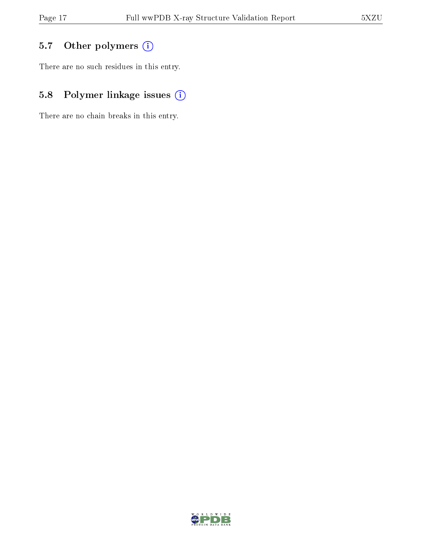## 5.7 [O](https://www.wwpdb.org/validation/2017/XrayValidationReportHelp#nonstandard_residues_and_ligands)ther polymers (i)

There are no such residues in this entry.

## 5.8 Polymer linkage issues (i)

There are no chain breaks in this entry.

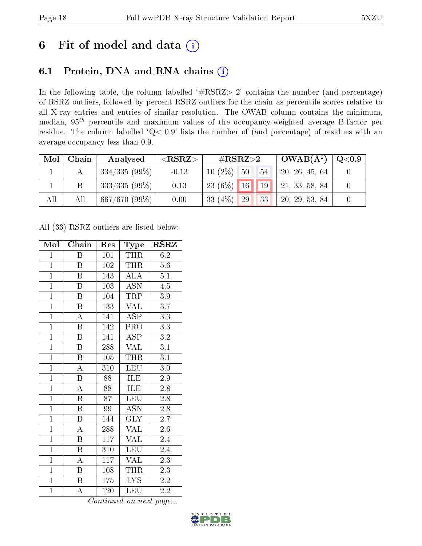## 6 Fit of model and data  $(i)$

### 6.1 Protein, DNA and RNA chains  $(i)$

In the following table, the column labelled  $#RSRZ> 2'$  contains the number (and percentage) of RSRZ outliers, followed by percent RSRZ outliers for the chain as percentile scores relative to all X-ray entries and entries of similar resolution. The OWAB column contains the minimum, median,  $95<sup>th</sup>$  percentile and maximum values of the occupancy-weighted average B-factor per residue. The column labelled ' $Q< 0.9$ ' lists the number of (and percentage) of residues with an average occupancy less than 0.9.

| Mol | Chain | Analysed            | $<$ RSRZ $>$ | $\rm \#RSRZ{>}2$         | $^{\circ}$ OWAB( $\rm \AA^2)$ , | $\bf Q\texttt{<}0.9$ |
|-----|-------|---------------------|--------------|--------------------------|---------------------------------|----------------------|
|     |       | $^+$ 334/335 (99%). | $-0.13$      | $10(2\%)$<br>$-50$<br>54 | 20, 26, 45, 64                  |                      |
|     | Β     | $333/335(99\%)$     | 0.13         | $23(6\%)$ 16 19          | 21, 33, 58, 84                  |                      |
| All | All   | 667/670(99%)        | 0.00         | 33 $(4%)$<br> 33 <br>29  | 20, 29, 53, 84                  |                      |

All (33) RSRZ outliers are listed below:

| Mol            | Chain                   | Res             | Type                      | $\rm RSRZ$       |
|----------------|-------------------------|-----------------|---------------------------|------------------|
| $\mathbf{1}$   | $\boldsymbol{B}$        | 101             | THR                       | 6.2              |
| $\mathbf{1}$   | Β                       | 102             | THR                       | $5.6\,$          |
| $\overline{1}$ | $\overline{\mathrm{B}}$ | 143             | $\overline{\rm ALA}$      | $\overline{5.1}$ |
| $\overline{1}$ | $\boldsymbol{B}$        | 103             | <b>ASN</b>                | $4.\overline{5}$ |
| $\overline{1}$ | $\overline{\mathrm{B}}$ | 104             | TRP                       | $3.9\,$          |
| $\overline{1}$ | $\boldsymbol{B}$        | 133             | <b>VAL</b>                | $\overline{3.7}$ |
| $\overline{1}$ | $\overline{\rm A}$      | 141             | <b>ASP</b>                | $\overline{3.3}$ |
| $\overline{1}$ | $\overline{\mathbf{B}}$ | 142             | <b>PRO</b>                | 3.3              |
| $\overline{1}$ | $\overline{B}$          | 141             | ASP                       | 3.2              |
| $\overline{1}$ | $\overline{\mathrm{B}}$ | 288             | <b>VAL</b>                | $\overline{3.1}$ |
| $\overline{1}$ | $\overline{\mathrm{B}}$ | 105             | <b>THR</b>                | $\overline{3.1}$ |
| $\overline{1}$ | $\overline{\rm A}$      | 310             | LEU                       | $3.0\,$          |
| $\overline{1}$ | $\overline{\mathrm{B}}$ | 88              | ILE                       | 2.9              |
| $\overline{1}$ | $\overline{\rm A}$      | 88              | <b>ILE</b>                | 2.8              |
| $\overline{1}$ | $\overline{\mathrm{B}}$ | $\overline{87}$ | LEU                       | $\overline{2.8}$ |
| $\mathbf{1}$   | $\boldsymbol{B}$        | 99              | $\overline{\mathrm{ASN}}$ | $2.\overline{8}$ |
| $\overline{1}$ | $\overline{\mathrm{B}}$ | 144             | $\overline{\text{GLY}}$   | $\overline{2.7}$ |
| $\overline{1}$ | $\boldsymbol{A}$        | 288             | <b>VAL</b>                | $2.6\,$          |
| $\overline{1}$ | $\overline{\mathrm{B}}$ | 117             | $\overline{\text{VAL}}$   | 2.4              |
| $\overline{1}$ | $\overline{B}$          | 310             | <b>LEU</b>                | 2.4              |
| $\overline{1}$ | $\overline{\rm A}$      | 117             | <b>VAL</b>                | $\overline{2.3}$ |
| $\overline{1}$ | Β                       | 108             | THR                       | 2.3              |
| $\mathbf{1}$   | B                       | 175             | <b>LYS</b>                | 2.2              |
| $\mathbf{1}$   | А                       | 120             | LEU                       | $2.\overline{2}$ |

Continued on next page...

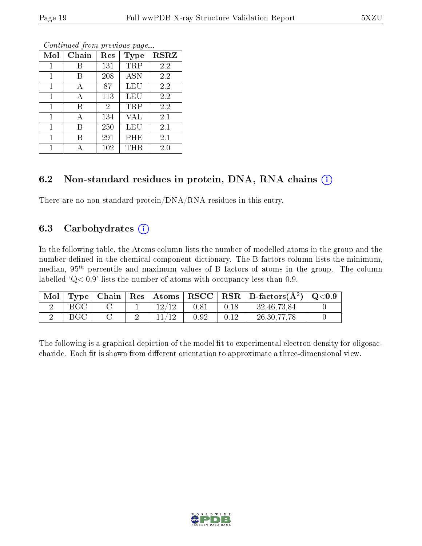| Mol          | Chain | Res            | Type       | $\bf RSRZ$ |
|--------------|-------|----------------|------------|------------|
| 1            | В     | 131            | TRP        | 2.2        |
| 1            | В     | 208            | <b>ASN</b> | 2.2        |
| 1            | А     | 87             | LEU        | 2.2        |
| 1            | А     | 113            | LEU        | 2.2        |
| 1            | В     | $\overline{2}$ | TRP        | 2.2        |
| $\mathbf{1}$ | А     | 134            | VAL        | 2.1        |
| 1            | В     | 250            | LEU        | 2.1        |
| $\mathbf{1}$ | В     | 291            | PHE        | 2.1        |
| 1            |       | 102            | THR        | 2.0        |

Continued from previous page...

#### 6.2 Non-standard residues in protein, DNA, RNA chains  $(i)$

There are no non-standard protein/DNA/RNA residues in this entry.

#### 6.3 Carbohydrates  $(i)$

In the following table, the Atoms column lists the number of modelled atoms in the group and the number defined in the chemical component dictionary. The B-factors column lists the minimum, median,  $95<sup>th</sup>$  percentile and maximum values of B factors of atoms in the group. The column labelled  $Q< 0.9$ ' lists the number of atoms with occupancy less than 0.9.

| Mol | Type | ⊢Chain | $\parallel$ Res $\parallel$ Atoms $\perp$ | $\bf RSCC$ | $\mid$ RSR $\mid$ B-factors( $\AA^2$ ) $\mid$ | $\,$ Q $<$ 0.9 $\,$ |
|-----|------|--------|-------------------------------------------|------------|-----------------------------------------------|---------------------|
|     | BGC  |        |                                           | 0.81       | 32, 46, 73, 84                                |                     |
|     | BGC  |        |                                           | $\rm 0.92$ | 26, 30, 77, 78                                |                     |

The following is a graphical depiction of the model fit to experimental electron density for oligosaccharide. Each fit is shown from different orientation to approximate a three-dimensional view.